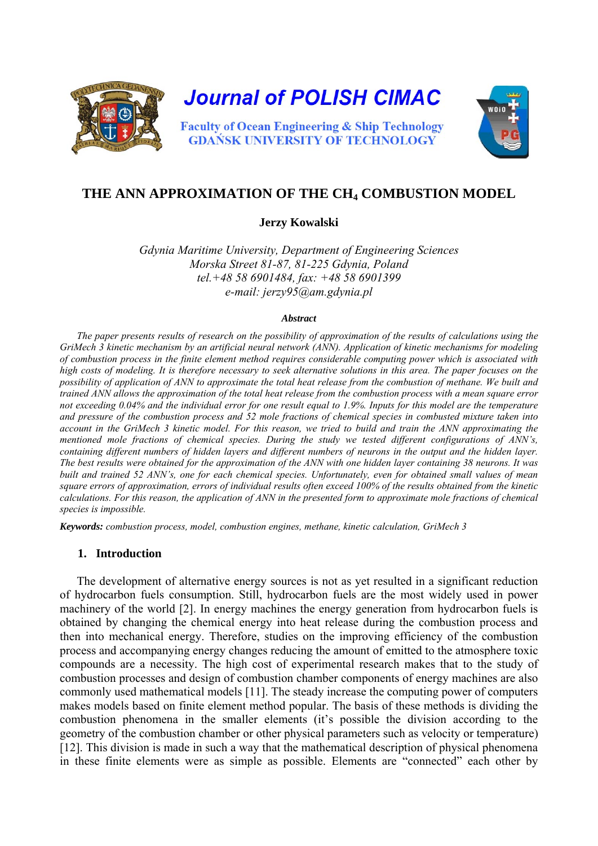

# THE ANN APPROXIMATION OF THE CH<sub>4</sub> COMBUSTION MODEL

#### **Jerzy Kowalski**

*Gdynia Maritime University, Department of Engineering Sciences Morska Street 81-87, 81-225 Gdynia, Poland tel.+48 58 6901484, fax: +48 58 6901399 e-mail: jerzy95@am.gdynia.pl* 

#### *Abstract*

*The paper presents results of research on the possibility of approximation of the results of calculations using the GriMech 3 kinetic mechanism by an artificial neural network (ANN). Application of kinetic mechanisms for modeling of combustion process in the finite element method requires considerable computing power which is associated with high costs of modeling. It is therefore necessary to seek alternative solutions in this area. The paper focuses on the possibility of application of ANN to approximate the total heat release from the combustion of methane. We built and trained ANN allows the approximation of the total heat release from the combustion process with a mean square error not exceeding 0.04% and the individual error for one result equal to 1.9%. Inputs for this model are the temperature and pressure of the combustion process and 52 mole fractions of chemical species in combusted mixture taken into account in the GriMech 3 kinetic model. For this reason, we tried to build and train the ANN approximating the mentioned mole fractions of chemical species. During the study we tested different configurations of ANN's, containing different numbers of hidden layers and different numbers of neurons in the output and the hidden layer. The best results were obtained for the approximation of the ANN with one hidden layer containing 38 neurons. It was built and trained 52 ANN's, one for each chemical species. Unfortunately, even for obtained small values of mean square errors of approximation, errors of individual results often exceed 100% of the results obtained from the kinetic calculations. For this reason, the application of ANN in the presented form to approximate mole fractions of chemical species is impossible.* 

*Keywords: combustion process, model, combustion engines, methane, kinetic calculation, GriMech 3* 

#### **1. Introduction**

The development of alternative energy sources is not as yet resulted in a significant reduction of hydrocarbon fuels consumption. Still, hydrocarbon fuels are the most widely used in power machinery of the world [\[2\]](#page-6-0). In energy machines the energy generation from hydrocarbon fuels is obtained by changing the chemical energy into heat release during the combustion process and then into mechanical energy. Therefore, studies on the improving efficiency of the combustion process and accompanying energy changes reducing the amount of emitted to the atmosphere toxic compounds are a necessity. The high cost of experimental research makes that to the study of combustion processes and design of combustion chamber components of energy machines are also commonly used mathematical models [\[11\]](#page-7-0). The steady increase the computing power of computers makes models based on finite element method popular. The basis of these methods is dividing the combustion phenomena in the smaller elements (it's possible the division according to the geometry of the combustion chamber or other physical parameters such as velocity or temperature) [\[12\].](#page-7-1) This division is made in such a way that the mathematical description of physical phenomena in these finite elements were as simple as possible. Elements are "connected" each other by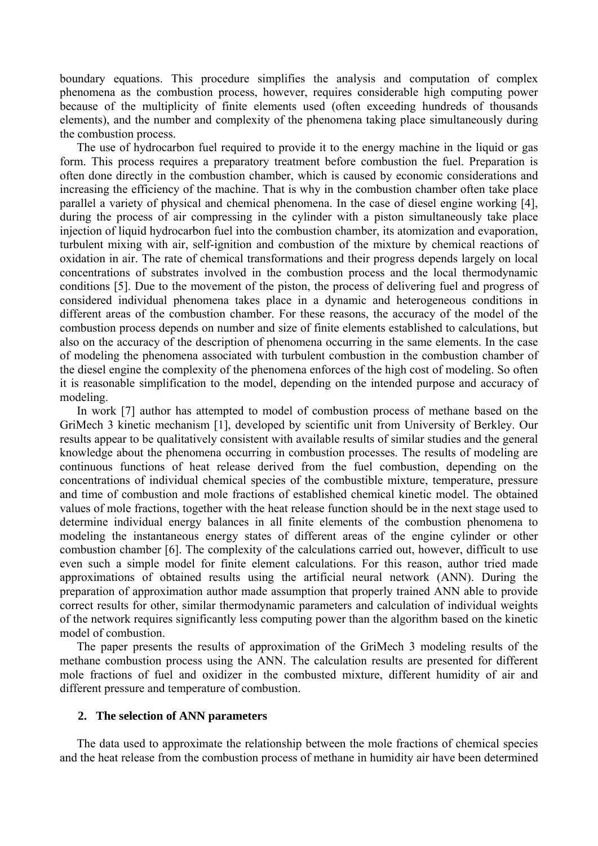boundary equations. This procedure simplifies the analysis and computation of complex phenomena as the combustion process, however, requires considerable high computing power because of the multiplicity of finite elements used (often exceeding hundreds of thousands elements), and the number and complexity of the phenomena taking place simultaneously during the combustion process.

The use of hydrocarbon fuel required to provide it to the energy machine in the liquid or gas form. This process requires a preparatory treatment before combustion the fuel. Preparation is often done directly in the combustion chamber, which is caused by economic considerations and increasing the efficiency of the machine. That is why in the combustion chamber often take place parallel a variety of physical and chemical phenomena. In the case of diesel engine working [\[4\],](#page-6-1) during the process of air compressing in the cylinder with a piston simultaneously take place injection of liquid hydrocarbon fuel into the combustion chamber, its atomization and evaporation, turbulent mixing with air, self-ignition and combustion of the mixture by chemical reactions of oxidation in air. The rate of chemical transformations and their progress depends largely on local concentrations of substrates involved in the combustion process and the local thermodynamic conditions [\[5\]](#page-7-2). Due to the movement of the piston, the process of delivering fuel and progress of considered individual phenomena takes place in a dynamic and heterogeneous conditions in different areas of the combustion chamber. For these reasons, the accuracy of the model of the combustion process depends on number and size of finite elements established to calculations, but also on the accuracy of the description of phenomena occurring in the same elements. In the case of modeling the phenomena associated with turbulent combustion in the combustion chamber of the diesel engine the complexity of the phenomena enforces of the high cost of modeling. So often it is reasonable simplification to the model, depending on the intended purpose and accuracy of modeling.

In work [\[7\]](#page-7-3) author has attempted to model of combustion process of methane based on the GriMech 3 kinetic mechanism [\[1\]](#page-6-2), developed by scientific unit from University of Berkley. Our results appear to be qualitatively consistent with available results of similar studies and the general knowledge about the phenomena occurring in combustion processes. The results of modeling are continuous functions of heat release derived from the fuel combustion, depending on the concentrations of individual chemical species of the combustible mixture, temperature, pressure and time of combustion and mole fractions of established chemical kinetic model. The obtained values of mole fractions, together with the heat release function should be in the next stage used to determine individual energy balances in all finite elements of the combustion phenomena to modeling the instantaneous energy states of different areas of the engine cylinder or other combustion chamber [\[6\]](#page-7-4). The complexity of the calculations carried out, however, difficult to use even such a simple model for finite element calculations. For this reason, author tried made approximations of obtained results using the artificial neural network (ANN). During the preparation of approximation author made assumption that properly trained ANN able to provide correct results for other, similar thermodynamic parameters and calculation of individual weights of the network requires significantly less computing power than the algorithm based on the kinetic model of combustion.

The paper presents the results of approximation of the GriMech 3 modeling results of the methane combustion process using the ANN. The calculation results are presented for different mole fractions of fuel and oxidizer in the combusted mixture, different humidity of air and different pressure and temperature of combustion.

### **2. The selection of ANN parameters**

The data used to approximate the relationship between the mole fractions of chemical species and the heat release from the combustion process of methane in humidity air have been determined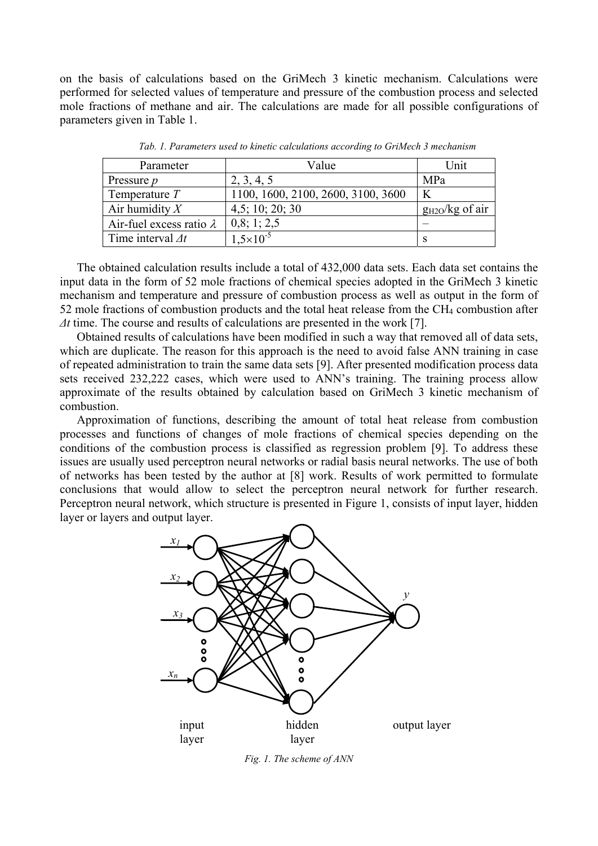on the basis of calculations based on the GriMech 3 kinetic mechanism. Calculations were performed for selected values of temperature and pressure of the combustion process and selected mole fractions of methane and air. The calculations are made for all possible configurations of parameters given in Table 1.

| Parameter                       | Value                              | Jnit                |
|---------------------------------|------------------------------------|---------------------|
| Pressure <i>p</i>               | 2, 3, 4, 5                         | MPa                 |
| Temperature $T$                 | 1100, 1600, 2100, 2600, 3100, 3600 |                     |
| Air humidity $X$                | 4,5; 10; 20; 30                    | $g_{H2O}/kg$ of air |
| Air-fuel excess ratio $\lambda$ | 0,8; 1; 2,5                        |                     |
| Time interval $\Delta t$        | $1.5 \times 10^{-5}$               |                     |

*Tab. 1. Parameters used to kinetic calculations according to GriMech 3 mechanism* 

The obtained calculation results include a total of 432,000 data sets. Each data set contains the input data in the form of 52 mole fractions of chemical species adopted in the GriMech 3 kinetic mechanism and temperature and pressure of combustion process as well as output in the form of 52 mole fractions of combustion products and the total heat release from the CH<sub>4</sub> combustion after *Δt* time. The course and results of calculations are presented in the work [\[7\]](#page-7-3).

Obtained results of calculations have been modified in such a way that removed all of data sets, which are duplicate. The reason for this approach is the need to avoid false ANN training in case of repeated administration to train the same data sets [\[9\]](#page-7-5). After presented modification process data sets received 232,222 cases, which were used to ANN's training. The training process allow approximate of the results obtained by calculation based on GriMech 3 kinetic mechanism of combustion.

Approximation of functions, describing the amount of total heat release from combustion processes and functions of changes of mole fractions of chemical species depending on the conditions of the combustion process is classified as regression problem [\[9\].](#page-7-5) To address these issues are usually used perceptron neural networks or radial basis neural networks. The use of both of networks has been tested by the author at [\[8\]](#page-7-6) work. Results of work permitted to formulate conclusions that would allow to select the perceptron neural network for further research. Perceptron neural network, which structure is presented in Figure 1, consists of input layer, hidden layer or layers and output layer.



*Fig. 1. The scheme of ANN*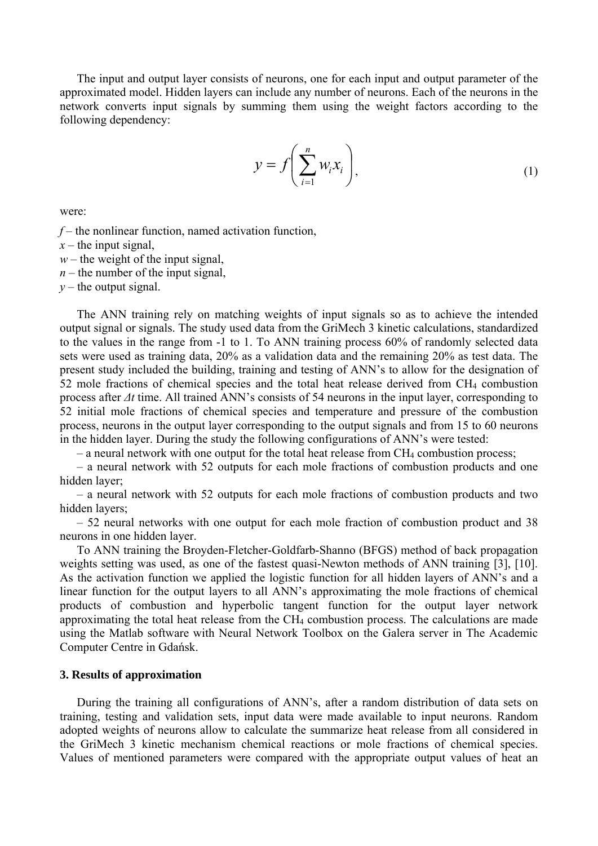The input and output layer consists of neurons, one for each input and output parameter of the approximated model. Hidden layers can include any number of neurons. Each of the neurons in the network converts input signals by summing them using the weight factors according to the following dependency:

$$
y = f\left(\sum_{i=1}^{n} w_i x_i\right),\tag{1}
$$

were:

 $f$  – the nonlinear function, named activation function,

 $x$  – the input signal,

*w –* the weight of the input signal,

 $n$  – the number of the input signal,

 $y$  – the output signal.

The ANN training rely on matching weights of input signals so as to achieve the intended output signal or signals. The study used data from the GriMech 3 kinetic calculations, standardized to the values in the range from -1 to 1. To ANN training process 60% of randomly selected data sets were used as training data, 20% as a validation data and the remaining 20% as test data. The present study included the building, training and testing of ANN's to allow for the designation of 52 mole fractions of chemical species and the total heat release derived from CH4 combustion process after *Δt* time. All trained ANN's consists of 54 neurons in the input layer, corresponding to 52 initial mole fractions of chemical species and temperature and pressure of the combustion process, neurons in the output layer corresponding to the output signals and from 15 to 60 neurons in the hidden layer. During the study the following configurations of ANN's were tested:

 $-$  a neural network with one output for the total heat release from  $CH_4$  combustion process;

– a neural network with 52 outputs for each mole fractions of combustion products and one hidden layer;

– a neural network with 52 outputs for each mole fractions of combustion products and two hidden layers;

– 52 neural networks with one output for each mole fraction of combustion product and 38 neurons in one hidden layer.

To ANN training the Broyden-Fletcher-Goldfarb-Shanno (BFGS) method of back propagation weights setting was used, as one of the fastest quasi-Newton methods of ANN training [\[3\],](#page-6-3) [\[10\].](#page-7-7) As the activation function we applied the logistic function for all hidden layers of ANN's and a linear function for the output layers to all ANN's approximating the mole fractions of chemical products of combustion and hyperbolic tangent function for the output layer network approximating the total heat release from the  $CH<sub>4</sub>$  combustion process. The calculations are made using the Matlab software with Neural Network Toolbox on the Galera server in The Academic Computer Centre in Gdańsk.

### **3. Results of approximation**

During the training all configurations of ANN's, after a random distribution of data sets on training, testing and validation sets, input data were made available to input neurons. Random adopted weights of neurons allow to calculate the summarize heat release from all considered in the GriMech 3 kinetic mechanism chemical reactions or mole fractions of chemical species. Values of mentioned parameters were compared with the appropriate output values of heat an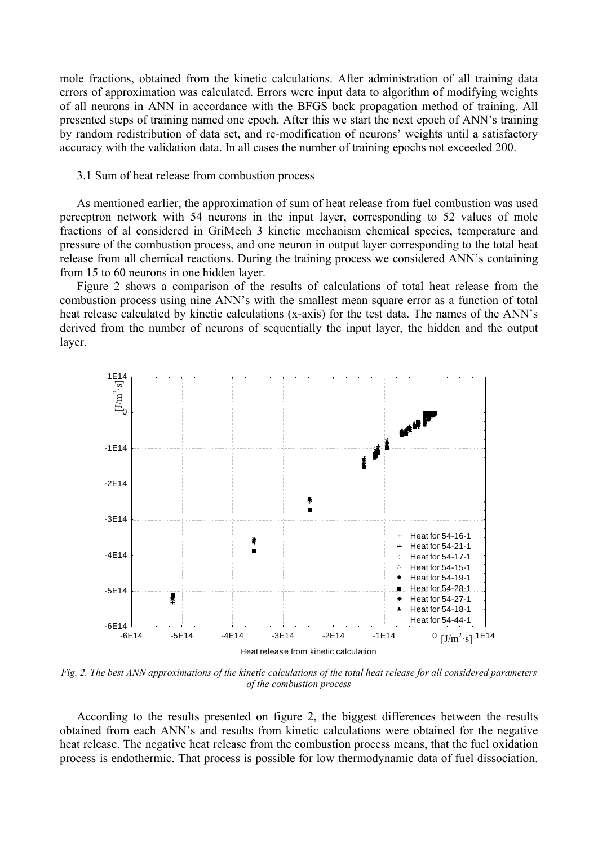mole fractions, obtained from the kinetic calculations. After administration of all training data errors of approximation was calculated. Errors were input data to algorithm of modifying weights of all neurons in ANN in accordance with the BFGS back propagation method of training. All presented steps of training named one epoch. After this we start the next epoch of ANN's training by random redistribution of data set, and re-modification of neurons' weights until a satisfactory accuracy with the validation data. In all cases the number of training epochs not exceeded 200.

#### 3.1 Sum of heat release from combustion process

As mentioned earlier, the approximation of sum of heat release from fuel combustion was used perceptron network with 54 neurons in the input layer, corresponding to 52 values of mole fractions of al considered in GriMech 3 kinetic mechanism chemical species, temperature and pressure of the combustion process, and one neuron in output layer corresponding to the total heat release from all chemical reactions. During the training process we considered ANN's containing from 15 to 60 neurons in one hidden layer.

Figure 2 shows a comparison of the results of calculations of total heat release from the combustion process using nine ANN's with the smallest mean square error as a function of total heat release calculated by kinetic calculations (x-axis) for the test data. The names of the ANN's derived from the number of neurons of sequentially the input layer, the hidden and the output layer.



*Fig. 2. The best ANN approximations of the kinetic calculations of the total heat release for all considered parameters of the combustion process* 

According to the results presented on figure 2, the biggest differences between the results obtained from each ANN's and results from kinetic calculations were obtained for the negative heat release. The negative heat release from the combustion process means, that the fuel oxidation process is endothermic. That process is possible for low thermodynamic data of fuel dissociation.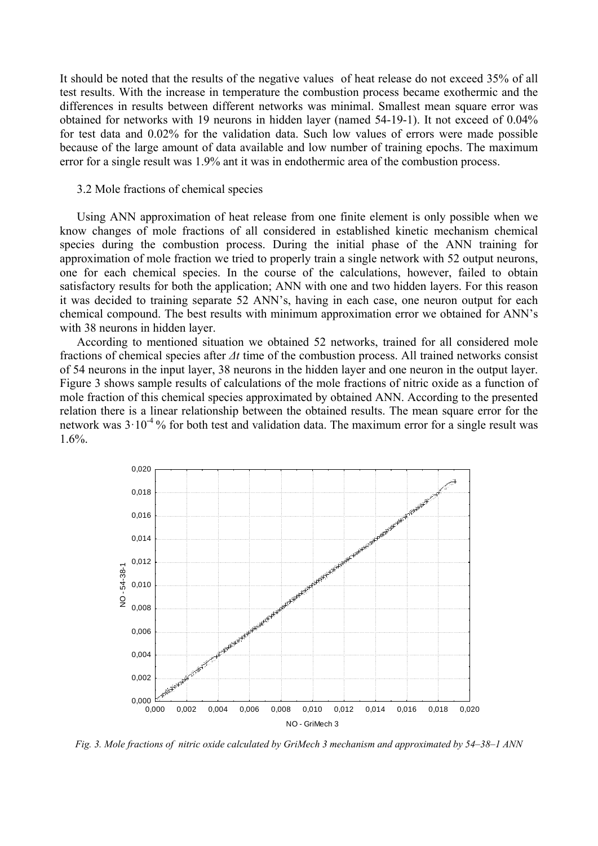It should be noted that the results of the negative values of heat release do not exceed 35% of all test results. With the increase in temperature the combustion process became exothermic and the differences in results between different networks was minimal. Smallest mean square error was obtained for networks with 19 neurons in hidden layer (named 54-19-1). It not exceed of 0.04% for test data and 0.02% for the validation data. Such low values of errors were made possible because of the large amount of data available and low number of training epochs. The maximum error for a single result was 1.9% ant it was in endothermic area of the combustion process.

#### 3.2 Mole fractions of chemical species

Using ANN approximation of heat release from one finite element is only possible when we know changes of mole fractions of all considered in established kinetic mechanism chemical species during the combustion process. During the initial phase of the ANN training for approximation of mole fraction we tried to properly train a single network with 52 output neurons, one for each chemical species. In the course of the calculations, however, failed to obtain satisfactory results for both the application; ANN with one and two hidden layers. For this reason it was decided to training separate 52 ANN's, having in each case, one neuron output for each chemical compound. The best results with minimum approximation error we obtained for ANN's with 38 neurons in hidden layer.

According to mentioned situation we obtained 52 networks, trained for all considered mole fractions of chemical species after *Δt* time of the combustion process. All trained networks consist of 54 neurons in the input layer, 38 neurons in the hidden layer and one neuron in the output layer. Figure 3 shows sample results of calculations of the mole fractions of nitric oxide as a function of mole fraction of this chemical species approximated by obtained ANN. According to the presented relation there is a linear relationship between the obtained results. The mean square error for the network was  $3 \cdot 10^{-4}$ % for both test and validation data. The maximum error for a single result was 1.6%.



*Fig. 3. Mole fractions of nitric oxide calculated by GriMech 3 mechanism and approximated by 54–38–1 ANN*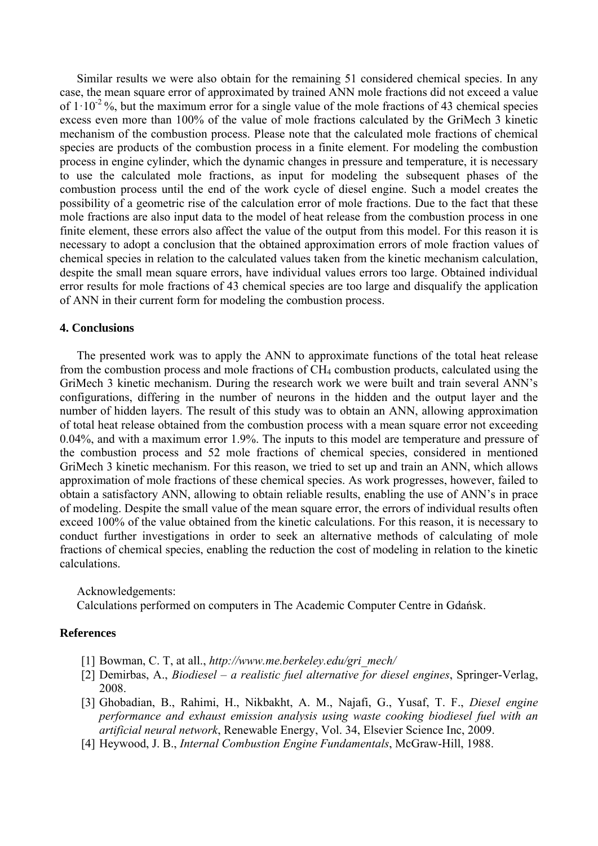Similar results we were also obtain for the remaining 51 considered chemical species. In any case, the mean square error of approximated by trained ANN mole fractions did not exceed a value of  $1 \cdot 10^{-2}$ %, but the maximum error for a single value of the mole fractions of 43 chemical species excess even more than 100% of the value of mole fractions calculated by the GriMech 3 kinetic mechanism of the combustion process. Please note that the calculated mole fractions of chemical species are products of the combustion process in a finite element. For modeling the combustion process in engine cylinder, which the dynamic changes in pressure and temperature, it is necessary to use the calculated mole fractions, as input for modeling the subsequent phases of the combustion process until the end of the work cycle of diesel engine. Such a model creates the possibility of a geometric rise of the calculation error of mole fractions. Due to the fact that these mole fractions are also input data to the model of heat release from the combustion process in one finite element, these errors also affect the value of the output from this model. For this reason it is necessary to adopt a conclusion that the obtained approximation errors of mole fraction values of chemical species in relation to the calculated values taken from the kinetic mechanism calculation, despite the small mean square errors, have individual values errors too large. Obtained individual error results for mole fractions of 43 chemical species are too large and disqualify the application of ANN in their current form for modeling the combustion process.

## **4. Conclusions**

The presented work was to apply the ANN to approximate functions of the total heat release from the combustion process and mole fractions of CH4 combustion products, calculated using the GriMech 3 kinetic mechanism. During the research work we were built and train several ANN's configurations, differing in the number of neurons in the hidden and the output layer and the number of hidden layers. The result of this study was to obtain an ANN, allowing approximation of total heat release obtained from the combustion process with a mean square error not exceeding 0.04%, and with a maximum error 1.9%. The inputs to this model are temperature and pressure of the combustion process and 52 mole fractions of chemical species, considered in mentioned GriMech 3 kinetic mechanism. For this reason, we tried to set up and train an ANN, which allows approximation of mole fractions of these chemical species. As work progresses, however, failed to obtain a satisfactory ANN, allowing to obtain reliable results, enabling the use of ANN's in prace of modeling. Despite the small value of the mean square error, the errors of individual results often exceed 100% of the value obtained from the kinetic calculations. For this reason, it is necessary to conduct further investigations in order to seek an alternative methods of calculating of mole fractions of chemical species, enabling the reduction the cost of modeling in relation to the kinetic calculations.

Acknowledgements:

Calculations performed on computers in The Academic Computer Centre in Gdańsk.

# <span id="page-6-2"></span><span id="page-6-0"></span>**References**

- [1] Bowman, C. T, at all., *http://www.me.berkeley.edu/gri\_mech/*
- [2] Demirbas, A., *Biodiesel a realistic fuel alternative for diesel engines*, Springer-Verlag, 2008.
- <span id="page-6-3"></span>[3] Ghobadian, B., Rahimi, H., Nikbakht, A. M., Najafi, G., Yusaf, T. F., *Diesel engine performance and exhaust emission analysis using waste cooking biodiesel fuel with an artificial neural network*, Renewable Energy, Vol. 34, Elsevier Science Inc, 2009.
- <span id="page-6-1"></span>[4] Heywood, J. B., *Internal Combustion Engine Fundamentals*, McGraw-Hill, 1988.